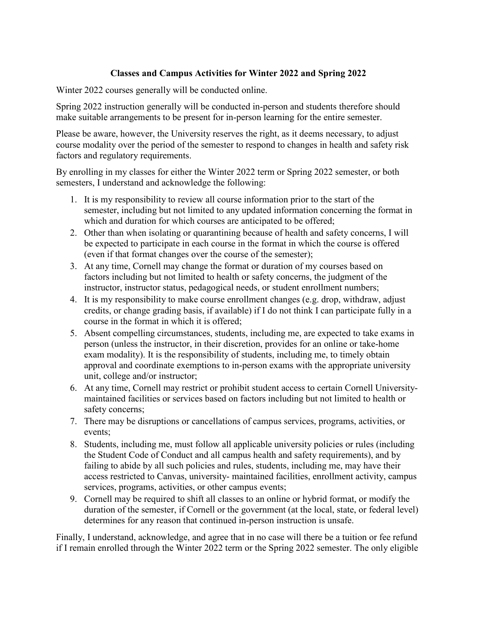## **Classes and Campus Activities for Winter 2022 and Spring 2022**

Winter 2022 courses generally will be conducted online.

Spring 2022 instruction generally will be conducted in-person and students therefore should make suitable arrangements to be present for in-person learning for the entire semester.

Please be aware, however, the University reserves the right, as it deems necessary, to adjust course modality over the period of the semester to respond to changes in health and safety risk factors and regulatory requirements.

By enrolling in my classes for either the Winter 2022 term or Spring 2022 semester, or both semesters, I understand and acknowledge the following:

- 1. It is my responsibility to review all course information prior to the start of the semester, including but not limited to any updated information concerning the format in which and duration for which courses are anticipated to be offered;
- 2. Other than when isolating or quarantining because of health and safety concerns, I will be expected to participate in each course in the format in which the course is offered (even if that format changes over the course of the semester);
- 3. At any time, Cornell may change the format or duration of my courses based on factors including but not limited to health or safety concerns, the judgment of the instructor, instructor status, pedagogical needs, or student enrollment numbers;
- 4. It is my responsibility to make course enrollment changes (e.g. drop, withdraw, adjust credits, or change grading basis, if available) if I do not think I can participate fully in a course in the format in which it is offered;
- 5. Absent compelling circumstances, students, including me, are expected to take exams in person (unless the instructor, in their discretion, provides for an online or take-home exam modality). It is the responsibility of students, including me, to timely obtain approval and coordinate exemptions to in-person exams with the appropriate university unit, college and/or instructor;
- 6. At any time, Cornell may restrict or prohibit student access to certain Cornell Universitymaintained facilities or services based on factors including but not limited to health or safety concerns;
- 7. There may be disruptions or cancellations of campus services, programs, activities, or events;
- 8. Students, including me, must follow all applicable university policies or rules (including the Student Code of Conduct and all campus health and safety requirements), and by failing to abide by all such policies and rules, students, including me, may have their access restricted to Canvas, university- maintained facilities, enrollment activity, campus services, programs, activities, or other campus events;
- 9. Cornell may be required to shift all classes to an online or hybrid format, or modify the duration of the semester, if Cornell or the government (at the local, state, or federal level) determines for any reason that continued in-person instruction is unsafe.

Finally, I understand, acknowledge, and agree that in no case will there be a tuition or fee refund if I remain enrolled through the Winter 2022 term or the Spring 2022 semester. The only eligible